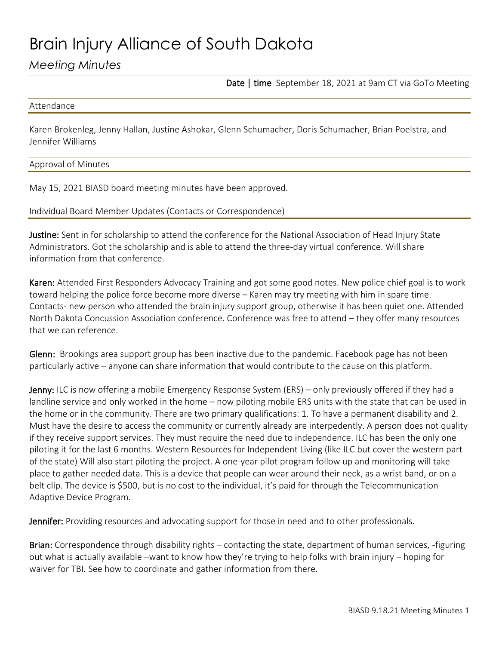# Brain Injury Alliance of South Dakota

## *Meeting Minutes*

Date | time September 18, 2021 at 9am CT via GoTo Meeting

#### Attendance

Karen Brokenleg, Jenny Hallan, Justine Ashokar, Glenn Schumacher, Doris Schumacher, Brian Poelstra, and Jennifer Williams

### Approval of Minutes

May 15, 2021 BIASD board meeting minutes have been approved.

### Individual Board Member Updates (Contacts or Correspondence)

Justine: Sent in for scholarship to attend the conference for the National Association of Head Injury State Administrators. Got the scholarship and is able to attend the three-day virtual conference. Will share information from that conference.

Karen: Attended First Responders Advocacy Training and got some good notes. New police chief goal is to work toward helping the police force become more diverse – Karen may try meeting with him in spare time. Contacts- new person who attended the brain injury support group, otherwise it has been quiet one. Attended North Dakota Concussion Association conference. Conference was free to attend – they offer many resources that we can reference.

Glenn: Brookings area support group has been inactive due to the pandemic. Facebook page has not been particularly active – anyone can share information that would contribute to the cause on this platform.

Jenny: ILC is now offering a mobile Emergency Response System (ERS) – only previously offered if they had a landline service and only worked in the home – now piloting mobile ERS units with the state that can be used in the home or in the community. There are two primary qualifications: 1. To have a permanent disability and 2. Must have the desire to access the community or currently already are interpedently. A person does not quality if they receive support services. They must require the need due to independence. ILC has been the only one piloting it for the last 6 months. Western Resources for Independent Living (like ILC but cover the western part of the state) Will also start piloting the project. A one-year pilot program follow up and monitoring will take place to gather needed data. This is a device that people can wear around their neck, as a wrist band, or on a belt clip. The device is \$500, but is no cost to the individual, it's paid for through the Telecommunication Adaptive Device Program.

Jennifer: Providing resources and advocating support for those in need and to other professionals.

Brian: Correspondence through disability rights – contacting the state, department of human services, -figuring out what is actually available –want to know how they're trying to help folks with brain injury – hoping for waiver for TBI. See how to coordinate and gather information from there.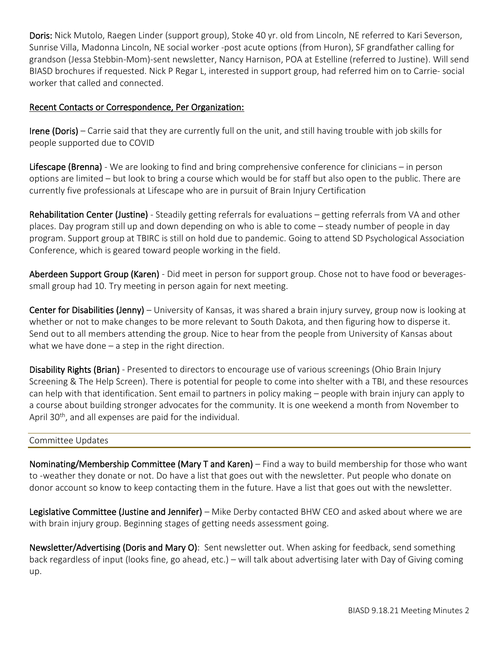Doris: Nick Mutolo, Raegen Linder (support group), Stoke 40 yr. old from Lincoln, NE referred to Kari Severson, Sunrise Villa, Madonna Lincoln, NE social worker -post acute options (from Huron), SF grandfather calling for grandson (Jessa Stebbin-Mom)-sent newsletter, Nancy Harnison, POA at Estelline (referred to Justine). Will send BIASD brochures if requested. Nick P Regar L, interested in support group, had referred him on to Carrie- social worker that called and connected.

## Recent Contacts or Correspondence, Per Organization:

Irene (Doris) – Carrie said that they are currently full on the unit, and still having trouble with job skills for people supported due to COVID

Lifescape (Brenna) - We are looking to find and bring comprehensive conference for clinicians – in person options are limited – but look to bring a course which would be for staff but also open to the public. There are currently five professionals at Lifescape who are in pursuit of Brain Injury Certification

Rehabilitation Center (Justine) - Steadily getting referrals for evaluations - getting referrals from VA and other places. Day program still up and down depending on who is able to come – steady number of people in day program. Support group at TBIRC is still on hold due to pandemic. Going to attend SD Psychological Association Conference, which is geared toward people working in the field.

Aberdeen Support Group (Karen) - Did meet in person for support group. Chose not to have food or beveragessmall group had 10. Try meeting in person again for next meeting.

Center for Disabilities (Jenny) – University of Kansas, it was shared a brain injury survey, group now is looking at whether or not to make changes to be more relevant to South Dakota, and then figuring how to disperse it. Send out to all members attending the group. Nice to hear from the people from University of Kansas about what we have done  $-$  a step in the right direction.

Disability Rights (Brian) - Presented to directors to encourage use of various screenings (Ohio Brain Injury Screening & The Help Screen). There is potential for people to come into shelter with a TBI, and these resources can help with that identification. Sent email to partners in policy making – people with brain injury can apply to a course about building stronger advocates for the community. It is one weekend a month from November to April 30<sup>th</sup>, and all expenses are paid for the individual.

## Committee Updates

Nominating/Membership Committee (Mary T and Karen) – Find a way to build membership for those who want to -weather they donate or not. Do have a list that goes out with the newsletter. Put people who donate on donor account so know to keep contacting them in the future. Have a list that goes out with the newsletter.

Legislative Committee (Justine and Jennifer) – Mike Derby contacted BHW CEO and asked about where we are with brain injury group. Beginning stages of getting needs assessment going.

Newsletter/Advertising (Doris and Mary O): Sent newsletter out. When asking for feedback, send something back regardless of input (looks fine, go ahead, etc.) – will talk about advertising later with Day of Giving coming up.